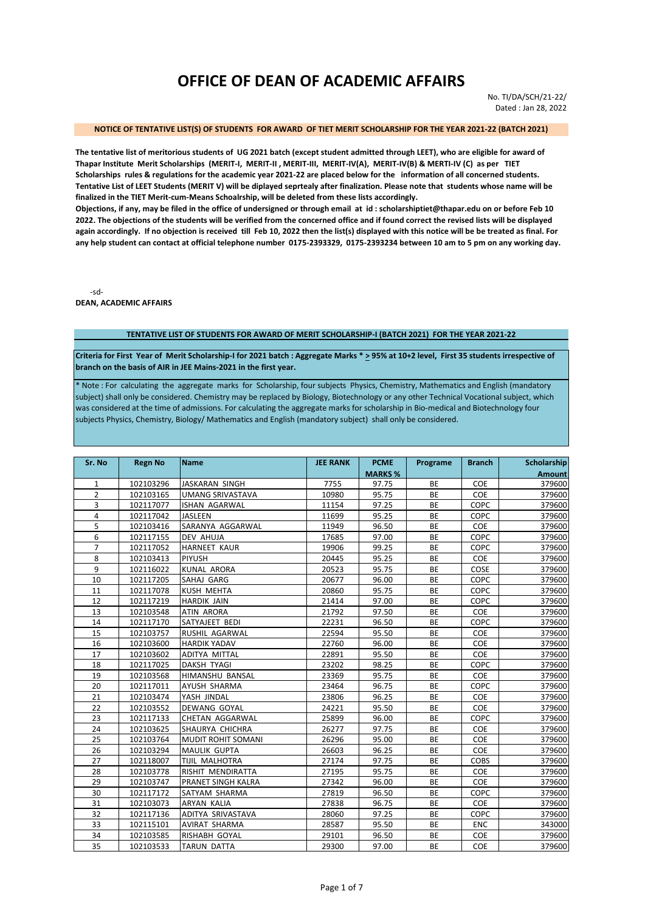# **OFFICE OF DEAN OF ACADEMIC AFFAIRS**

No. TI/DA/SCH/21-22/ Dated : Jan 28, 2022

#### **NOTICE OF TENTATIVE LIST(S) OF STUDENTS FOR AWARD OF TIET MERIT SCHOLARSHIP FOR THE YEAR 2021-22 (BATCH 2021)**

**The tentative list of meritorious students of UG 2021 batch (except student admitted through LEET), who are eligible for award of Thapar Institute Merit Scholarships (MERIT-I, MERIT-II , MERIT-III, MERIT-IV(A), MERIT-IV(B) & MERTI-IV (C) as per TIET Scholarships rules & regulations for the academic year 2021-22 are placed below for the information of all concerned students. Tentative List of LEET Students (MERIT V) will be diplayed seprtealy after finalization. Please note that students whose name will be finalized in the TIET Merit-cum-Means Schoalrship, will be deleted from these lists accordingly.** 

**Objections, if any, may be filed in the office of undersigned or through email at id : scholarshiptiet@thapar.edu on or before Feb 10 2022. The objections of the students will be verified from the concerned office and if found correct the revised lists will be displayed again accordingly. If no objection is received till Feb 10, 2022 then the list(s) displayed with this notice will be be treated as final. For any help student can contact at official telephone number 0175-2393329, 0175-2393234 between 10 am to 5 pm on any working day.** 

-sd-**DEAN, ACADEMIC AFFAIRS**

#### **TENTATIVE LIST OF STUDENTS FOR AWARD OF MERIT SCHOLARSHIP-I (BATCH 2021) FOR THE YEAR 2021-22**

**Criteria for First Year of Merit Scholarship-I for 2021 batch : Aggregate Marks \* > 95% at 10+2 level, First 35 students irrespective of branch on the basis of AIR in JEE Mains-2021 in the first year.**

\* Note : For calculating the aggregate marks for Scholarship, four subjects Physics, Chemistry, Mathematics and English (mandatory subject) shall only be considered. Chemistry may be replaced by Biology, Biotechnology or any other Technical Vocational subject, which was considered at the time of admissions. For calculating the aggregate marks for scholarship in Bio-medical and Biotechnology four subjects Physics, Chemistry, Biology/ Mathematics and English (mandatory subject) shall only be considered.

| Sr. No         | <b>Regn No</b> | <b>Name</b>             | <b>JEE RANK</b> | <b>PCME</b>    | Programe  | <b>Branch</b> | <b>Scholarship</b> |
|----------------|----------------|-------------------------|-----------------|----------------|-----------|---------------|--------------------|
|                |                |                         |                 | <b>MARKS %</b> |           |               | <b>Amount</b>      |
| 1              | 102103296      | <b>JASKARAN SINGH</b>   | 7755            | 97.75          | <b>BE</b> | COE           | 379600             |
| $\overline{2}$ | 102103165      | <b>UMANG SRIVASTAVA</b> | 10980           | 95.75          | BE        | COE           | 379600             |
| 3              | 102117077      | ISHAN AGARWAL           | 11154           | 97.25          | BE        | COPC          | 379600             |
| 4              | 102117042      | <b>JASLEEN</b>          | 11699           | 95.25          | BE        | COPC          | 379600             |
| 5              | 102103416      | SARANYA AGGARWAL        | 11949           | 96.50          | BE        | COE           | 379600             |
| 6              | 102117155      | <b>DEV AHUJA</b>        | 17685           | 97.00          | BE        | COPC          | 379600             |
| $\overline{7}$ | 102117052      | <b>HARNEET KAUR</b>     | 19906           | 99.25          | BE        | COPC          | 379600             |
| 8              | 102103413      | <b>PIYUSH</b>           | 20445           | 95.25          | BE        | COE           | 379600             |
| 9              | 102116022      | <b>KUNAL ARORA</b>      | 20523           | 95.75          | BE        | COSE          | 379600             |
| 10             | 102117205      | SAHAJ GARG              | 20677           | 96.00          | BE        | COPC          | 379600             |
| 11             | 102117078      | <b>KUSH MEHTA</b>       | 20860           | 95.75          | BE        | COPC          | 379600             |
| 12             | 102117219      | <b>HARDIK JAIN</b>      | 21414           | 97.00          | BE        | COPC          | 379600             |
| 13             | 102103548      | <b>ATIN ARORA</b>       | 21792           | 97.50          | BE        | COE           | 379600             |
| 14             | 102117170      | SATYAJEET BEDI          | 22231           | 96.50          | BE        | COPC          | 379600             |
| 15             | 102103757      | RUSHIL AGARWAL          | 22594           | 95.50          | BE        | COE           | 379600             |
| 16             | 102103600      | <b>HARDIK YADAV</b>     | 22760           | 96.00          | BE        | COE           | 379600             |
| 17             | 102103602      | ADITYA MITTAL           | 22891           | 95.50          | BE        | COE           | 379600             |
| 18             | 102117025      | <b>DAKSH TYAGI</b>      | 23202           | 98.25          | BE        | COPC          | 379600             |
| 19             | 102103568      | HIMANSHU BANSAL         | 23369           | 95.75          | BE        | COE           | 379600             |
| 20             | 102117011      | AYUSH SHARMA            | 23464           | 96.75          | BE        | COPC          | 379600             |
| 21             | 102103474      | YASH JINDAL             | 23806           | 96.25          | BE        | COE           | 379600             |
| 22             | 102103552      | DEWANG GOYAL            | 24221           | 95.50          | BE        | COE           | 379600             |
| 23             | 102117133      | <b>CHETAN AGGARWAL</b>  | 25899           | 96.00          | BE        | COPC          | 379600             |
| 24             | 102103625      | SHAURYA CHICHRA         | 26277           | 97.75          | BE        | COE           | 379600             |
| 25             | 102103764      | MUDIT ROHIT SOMANI      | 26296           | 95.00          | BE        | COE           | 379600             |
| 26             | 102103294      | <b>MAULIK GUPTA</b>     | 26603           | 96.25          | BE        | COE           | 379600             |
| 27             | 102118007      | TIJIL MALHOTRA          | 27174           | 97.75          | BE        | <b>COBS</b>   | 379600             |
| 28             | 102103778      | RISHIT MENDIRATTA       | 27195           | 95.75          | BE        | COE           | 379600             |
| 29             | 102103747      | PRANET SINGH KALRA      | 27342           | 96.00          | BE        | COE           | 379600             |
| 30             | 102117172      | SATYAM SHARMA           | 27819           | 96.50          | BE        | COPC          | 379600             |
| 31             | 102103073      | <b>ARYAN KALIA</b>      | 27838           | 96.75          | BE        | COE           | 379600             |
| 32             | 102117136      | ADITYA SRIVASTAVA       | 28060           | 97.25          | BE        | COPC          | 379600             |
| 33             | 102115101      | <b>AVIRAT SHARMA</b>    | 28587           | 95.50          | BE        | ENC           | 343000             |
| 34             | 102103585      | RISHABH GOYAL           | 29101           | 96.50          | BE        | COE           | 379600             |
| 35             | 102103533      | <b>TARUN DATTA</b>      | 29300           | 97.00          | <b>BE</b> | COE           | 379600             |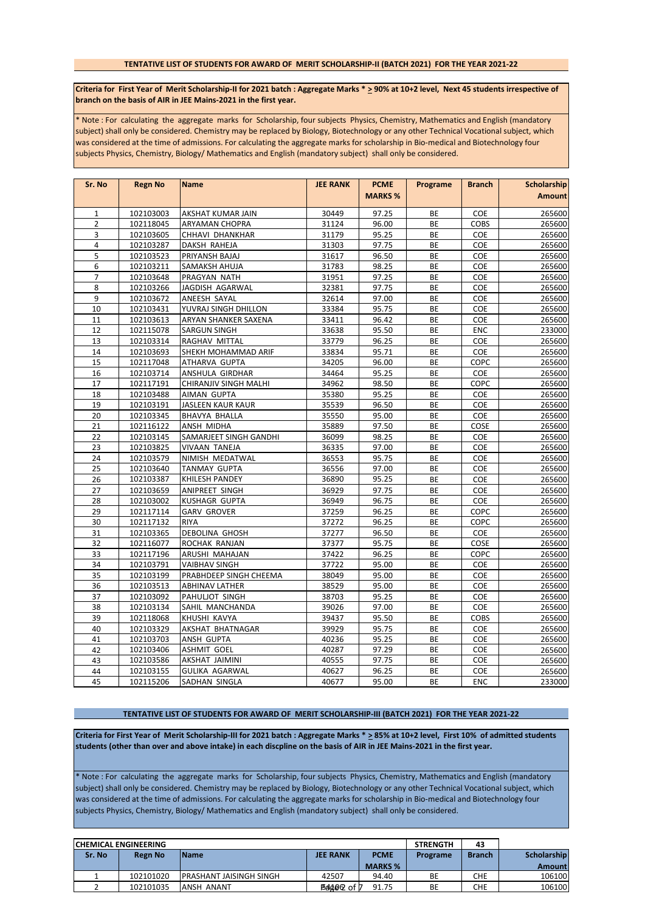# **TENTATIVE LIST OF STUDENTS FOR AWARD OF MERIT SCHOLARSHIP-II (BATCH 2021) FOR THE YEAR 2021-22**

Criteria for First Year of Merit Scholarship-II for 2021 batch : Aggregate Marks \* > 90% at 10+2 level, Next 45 students irrespective of **branch on the basis of AIR in JEE Mains-2021 in the first year.**

\* Note : For calculating the aggregate marks for Scholarship, four subjects Physics, Chemistry, Mathematics and English (mandatory subject) shall only be considered. Chemistry may be replaced by Biology, Biotechnology or any other Technical Vocational subject, which was considered at the time of admissions. For calculating the aggregate marks for scholarship in Bio-medical and Biotechnology four subjects Physics, Chemistry, Biology/ Mathematics and English (mandatory subject) shall only be considered.

| Sr. No         | <b>Regn No</b> | <b>Name</b>              | <b>JEE RANK</b> | <b>PCME</b>    | Programe | <b>Branch</b> | <b>Scholarship</b> |
|----------------|----------------|--------------------------|-----------------|----------------|----------|---------------|--------------------|
|                |                |                          |                 | <b>MARKS %</b> |          |               | <b>Amount</b>      |
| $\mathbf{1}$   | 102103003      | AKSHAT KUMAR JAIN        | 30449           | 97.25          | BE       | COE           | 265600             |
| $\overline{2}$ | 102118045      | ARYAMAN CHOPRA           | 31124           | 96.00          | BE       | <b>COBS</b>   | 265600             |
| 3              | 102103605      | CHHAVI DHANKHAR          | 31179           | 95.25          | BE       | COE           | 265600             |
| $\overline{4}$ | 102103287      | DAKSH RAHEJA             | 31303           | 97.75          | BE       | COE           | 265600             |
| 5              | 102103523      | PRIYANSH BAJAJ           | 31617           | 96.50          | BE       | COE           | 265600             |
| 6              | 102103211      | SAMAKSH AHUJA            | 31783           | 98.25          | BE       | COE           | 265600             |
| $\overline{7}$ | 102103648      | PRAGYAN NATH             | 31951           | 97.25          | BE       | COE           | 265600             |
| 8              | 102103266      | JAGDISH AGARWAL          | 32381           | 97.75          | BE       | COE           | 265600             |
| 9              | 102103672      | ANEESH SAYAL             | 32614           | 97.00          | BE       | COE           | 265600             |
| 10             | 102103431      | YUVRAJ SINGH DHILLON     | 33384           | 95.75          | BE       | COE           | 265600             |
| 11             | 102103613      | ARYAN SHANKER SAXENA     | 33411           | 96.42          | ВE       | COE           | 265600             |
| 12             | 102115078      | SARGUN SINGH             | 33638           | 95.50          | BE       | <b>ENC</b>    | 233000             |
| 13             | 102103314      | RAGHAV MITTAL            | 33779           | 96.25          | BE       | COE           | 265600             |
| 14             | 102103693      | SHEKH MOHAMMAD ARIF      | 33834           | 95.71          | BE       | COE           | 265600             |
| 15             | 102117048      | ATHARVA GUPTA            | 34205           | 96.00          | BE       | COPC          | 265600             |
| 16             | 102103714      | ANSHULA GIRDHAR          | 34464           | 95.25          | BE       | COE           | 265600             |
| 17             | 102117191      | CHIRANJIV SINGH MALHI    | 34962           | 98.50          | BE       | COPC          | 265600             |
| 18             | 102103488      | AIMAN GUPTA              | 35380           | 95.25          | BE       | COE           | 265600             |
| 19             | 102103191      | <b>JASLEEN KAUR KAUR</b> | 35539           | 96.50          | ВE       | COE           | 265600             |
| 20             | 102103345      | BHAVYA BHALLA            | 35550           | 95.00          | BE       | COE           | 265600             |
| 21             | 102116122      | ANSH MIDHA               | 35889           | 97.50          | BE       | COSE          | 265600             |
| 22             | 102103145      | SAMARJEET SINGH GANDHI   | 36099           | 98.25          | BE       | COE           | 265600             |
| 23             | 102103825      | <b>VIVAAN TANEJA</b>     | 36335           | 97.00          | BE       | COE           | 265600             |
| 24             | 102103579      | NIMISH MEDATWAL          | 36553           | 95.75          | BE       | <b>COE</b>    | 265600             |
| 25             | 102103640      | <b>TANMAY GUPTA</b>      | 36556           | 97.00          | BE       | COE           | 265600             |
| 26             | 102103387      | KHILESH PANDEY           | 36890           | 95.25          | BE       | COE           | 265600             |
| 27             | 102103659      | ANIPREET SINGH           | 36929           | 97.75          | BE       | COE           | 265600             |
| 28             | 102103002      | KUSHAGR GUPTA            | 36949           | 96.75          | BE       | COE           | 265600             |
| 29             | 102117114      | <b>GARV GROVER</b>       | 37259           | 96.25          | BE       | COPC          | 265600             |
| 30             | 102117132      | <b>RIYA</b>              | 37272           | 96.25          | BE       | COPC          | 265600             |
| 31             | 102103365      | DEBOLINA GHOSH           | 37277           | 96.50          | BE       | COE           | 265600             |
| 32             | 102116077      | ROCHAK RANJAN            | 37377           | 95.75          | BE       | COSE          | 265600             |
| 33             | 102117196      | ARUSHI MAHAJAN           | 37422           | 96.25          | BE       | COPC          | 265600             |
| 34             | 102103791      | <b>VAIBHAV SINGH</b>     | 37722           | 95.00          | BE       | COE           | 265600             |
| 35             | 102103199      | PRABHDEEP SINGH CHEEMA   | 38049           | 95.00          | BE       | COE           | 265600             |
| 36             | 102103513      | <b>ABHINAV LATHER</b>    | 38529           | 95.00          | BE       | COE           | 265600             |
| 37             | 102103092      | PAHULJOT SINGH           | 38703           | 95.25          | BE       | COE           | 265600             |
| 38             | 102103134      | SAHIL MANCHANDA          | 39026           | 97.00          | ВE       | COE           | 265600             |
| 39             | 102118068      | KHUSHI KAVYA             | 39437           | 95.50          | BE       | COBS          | 265600             |
| 40             | 102103329      | AKSHAT BHATNAGAR         | 39929           | 95.75          | BE       | COE           | 265600             |
| 41             | 102103703      | ANSH GUPTA               | 40236           | 95.25          | BE       | COE           | 265600             |
| 42             | 102103406      | <b>ASHMIT GOEL</b>       | 40287           | 97.29          | BE       | COE           | 265600             |
| 43             | 102103586      | <b>AKSHAT JAIMINI</b>    | 40555           | 97.75          | BE       | COE           | 265600             |
| 44             | 102103155      | <b>GULIKA AGARWAL</b>    | 40627           | 96.25          | BE       | COE           | 265600             |
| 45             | 102115206      | SADHAN SINGLA            | 40677           | 95.00          | BE       | ENC           | 233000             |

#### **TENTATIVE LIST OF STUDENTS FOR AWARD OF MERIT SCHOLARSHIP-III (BATCH 2021) FOR THE YEAR 2021-22**

**Criteria for First Year of Merit Scholarship-III for 2021 batch : Aggregate Marks \* > 85% at 10+2 level, First 10% of admitted students students (other than over and above intake) in each discpline on the basis of AIR in JEE Mains-2021 in the first year.**

\* Note : For calculating the aggregate marks for Scholarship, four subjects Physics, Chemistry, Mathematics and English (mandatory subject) shall only be considered. Chemistry may be replaced by Biology, Biotechnology or any other Technical Vocational subject, which was considered at the time of admissions. For calculating the aggregate marks for scholarship in Bio-medical and Biotechnology four subjects Physics, Chemistry, Biology/ Mathematics and English (mandatory subject) shall only be considered.

| <b>CHEMICAL ENGINEERING</b> |                |                          |                 |                | <b>STRENGTH</b> | 43            |                    |
|-----------------------------|----------------|--------------------------|-----------------|----------------|-----------------|---------------|--------------------|
| Sr. No                      | <b>Regn No</b> | <b>IName</b>             | <b>JEE RANK</b> | <b>PCME</b>    | Programe        | <b>Branch</b> | <b>Scholarship</b> |
|                             |                |                          |                 | <b>MARKS %</b> |                 |               | Amount             |
|                             | 102101020      | IPRASHANT JAISINGH SINGH | 42507           | 94.40          | BE              | CHE           | 106100             |
|                             | 102101035      | ANSH ANANT               | ®a44e© of D     | 91.75          | BE              | сне           | 106100             |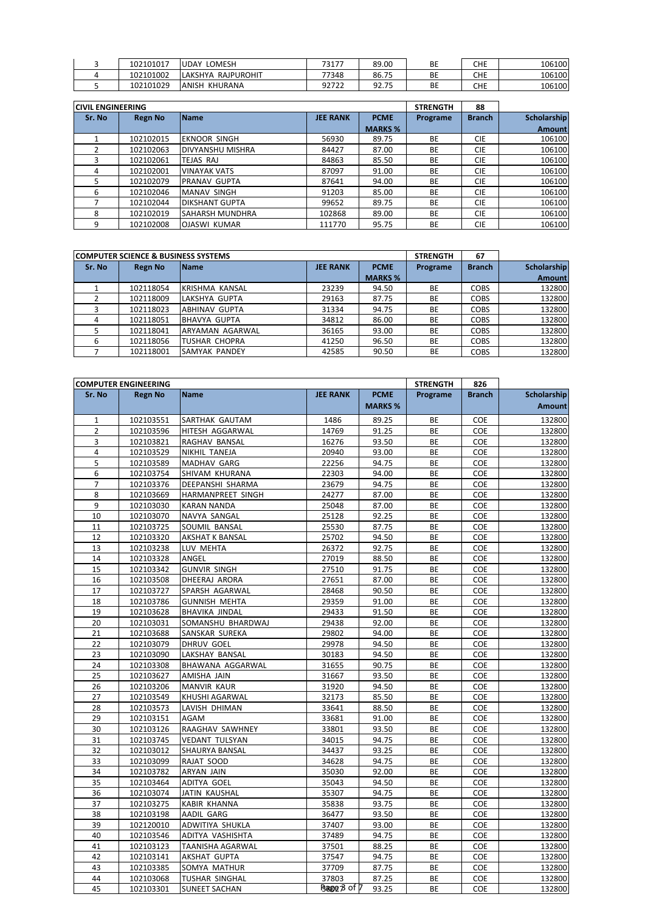| 102101017 | LOMESH<br><b>UDAY</b> | 73177 | 89.00             | BE | <b>CHE</b> | 106100 |
|-----------|-----------------------|-------|-------------------|----|------------|--------|
| 102101002 | RAJPUROHIT<br>LAKSHYA | 77348 | 86.75             | ВE | <b>CHE</b> | 106100 |
| 102101029 | ANISH<br>' KHURANA    | 92722 | 75<br>റാ<br>92.IJ | BE | CHE        | 106100 |

| <b>CIVIL ENGINEERING</b> |                |                         |                 |                | <b>STRENGTH</b> | 88            |               |
|--------------------------|----------------|-------------------------|-----------------|----------------|-----------------|---------------|---------------|
| Sr. No                   | <b>Regn No</b> | <b>Name</b>             | <b>JEE RANK</b> | <b>PCME</b>    | Programe        | <b>Branch</b> | Scholarship   |
|                          |                |                         |                 | <b>MARKS %</b> |                 |               | <b>Amount</b> |
|                          | 102102015      | <b>EKNOOR SINGH</b>     | 56930           | 89.75          | BE              | <b>CIE</b>    | 106100        |
|                          | 102102063      | <b>DIVYANSHU MISHRA</b> | 84427           | 87.00          | BE              | <b>CIE</b>    | 106100        |
|                          | 102102061      | TEJAS RAJ               | 84863           | 85.50          | BE              | <b>CIE</b>    | 106100        |
| 4                        | 102102001      | <b>VINAYAK VATS</b>     | 87097           | 91.00          | BE              | <b>CIE</b>    | 106100        |
| 5                        | 102102079      | <b>PRANAV GUPTA</b>     | 87641           | 94.00          | BE              | <b>CIE</b>    | 106100        |
| 6                        | 102102046      | <b>MANAV SINGH</b>      | 91203           | 85.00          | BE              | <b>CIE</b>    | 106100        |
|                          | 102102044      | <b>DIKSHANT GUPTA</b>   | 99652           | 89.75          | BE              | <b>CIE</b>    | 106100        |
| 8                        | 102102019      | <b>SAHARSH MUNDHRA</b>  | 102868          | 89.00          | <b>BE</b>       | <b>CIE</b>    | 106100        |
| 9                        | 102102008      | <b>OJASWI KUMAR</b>     | 111770          | 95.75          | <b>BE</b>       | <b>CIE</b>    | 106100        |

|        | <b>COMPUTER SCIENCE &amp; BUSINESS SYSTEMS</b> |                      |                 |                |           |               |             |
|--------|------------------------------------------------|----------------------|-----------------|----------------|-----------|---------------|-------------|
| Sr. No | <b>Regn No</b>                                 | <b>Name</b>          | <b>JEE RANK</b> | <b>PCME</b>    | Programe  | <b>Branch</b> | Scholarship |
|        |                                                |                      |                 | <b>MARKS %</b> |           |               | Amount      |
|        | 102118054                                      | KRISHMA KANSAL       | 23239           | 94.50          | BE        | <b>COBS</b>   | 132800      |
|        | 102118009                                      | LAKSHYA GUPTA        | 29163           | 87.75          | BE        | <b>COBS</b>   | 132800      |
|        | 102118023                                      | ABHINAV GUPTA        | 31334           | 94.75          | BE        | <b>COBS</b>   | 132800      |
| 4      | 102118051                                      | BHAVYA GUPTA         | 34812           | 86.00          | BE        | <b>COBS</b>   | 132800      |
|        | 102118041                                      | ARYAMAN AGARWAL      | 36165           | 93.00          | <b>BE</b> | <b>COBS</b>   | 132800      |
| 6      | 102118056                                      | <b>TUSHAR CHOPRA</b> | 41250           | 96.50          | <b>BE</b> | <b>COBS</b>   | 132800      |
|        | 102118001                                      | <b>SAMYAK PANDEY</b> | 42585           | 90.50          | BE        | <b>COBS</b>   | 132800      |

|                | <b>COMPUTER ENGINEERING</b> |                        |                 |                | <b>STRENGTH</b> | 826           |                    |
|----------------|-----------------------------|------------------------|-----------------|----------------|-----------------|---------------|--------------------|
| Sr. No         | <b>Regn No</b>              | <b>Name</b>            | <b>JEE RANK</b> | <b>PCME</b>    | Programe        | <b>Branch</b> | <b>Scholarship</b> |
|                |                             |                        |                 | <b>MARKS %</b> |                 |               | <b>Amount</b>      |
| $\mathbf{1}$   | 102103551                   | SARTHAK GAUTAM         | 1486            | 89.25          | BE              | <b>COE</b>    | 132800             |
| $\overline{2}$ | 102103596                   | HITESH AGGARWAL        | 14769           | 91.25          | BE              | COE           | 132800             |
| 3              | 102103821                   | RAGHAV BANSAL          | 16276           | 93.50          | <b>BE</b>       | COE           | 132800             |
| 4              | 102103529                   | NIKHIL TANEJA          | 20940           | 93.00          | BE              | COE           | 132800             |
| 5              | 102103589                   | MADHAV GARG            | 22256           | 94.75          | BE              | COE           | 132800             |
| 6              | 102103754                   | SHIVAM KHURANA         | 22303           | 94.00          | BE              | COE           | 132800             |
| 7              | 102103376                   | DEEPANSHI SHARMA       | 23679           | 94.75          | BE              | COE           | 132800             |
| 8              | 102103669                   | HARMANPREET SINGH      | 24277           | 87.00          | BE              | COE           | 132800             |
| 9              | 102103030                   | <b>KARAN NANDA</b>     | 25048           | 87.00          | BE              | COE           | 132800             |
| 10             | 102103070                   | NAVYA SANGAL           | 25128           | 92.25          | BE              | COE           | 132800             |
| 11             | 102103725                   | SOUMIL BANSAL          | 25530           | 87.75          | BE              | COE           | 132800             |
| 12             | 102103320                   | <b>AKSHAT K BANSAL</b> | 25702           | 94.50          | <b>BE</b>       | COE           | 132800             |
| 13             | 102103238                   | LUV MEHTA              | 26372           | 92.75          | BE              | COE           | 132800             |
| 14             | 102103328                   | ANGEL                  | 27019           | 88.50          | BE              | COE           | 132800             |
| 15             | 102103342                   | <b>GUNVIR SINGH</b>    | 27510           | 91.75          | BE              | COE           | 132800             |
| 16             | 102103508                   | DHEERAJ ARORA          | 27651           | 87.00          | BE              | COE           | 132800             |
| 17             | 102103727                   | SPARSH AGARWAL         | 28468           | 90.50          | BE              | COE           | 132800             |
| 18             | 102103786                   | <b>GUNNISH MEHTA</b>   | 29359           | 91.00          | BE              | COE           | 132800             |
| 19             | 102103628                   | <b>BHAVIKA JINDAL</b>  | 29433           | 91.50          | BE              | COE           | 132800             |
| 20             | 102103031                   | SOMANSHU BHARDWAJ      | 29438           | 92.00          | BE              | COE           | 132800             |
| 21             | 102103688                   | SANSKAR SUREKA         | 29802           | 94.00          | BE              | COE           | 132800             |
| 22             | 102103079                   | DHRUV GOEL             | 29978           | 94.50          | BE              | COE           | 132800             |
| 23             | 102103090                   | LAKSHAY BANSAL         | 30183           | 94.50          | BE              | COE           | 132800             |
| 24             | 102103308                   | BHAWANA AGGARWAL       | 31655           | 90.75          | BE              | COE           | 132800             |
| 25             | 102103627                   | AMISHA JAIN            | 31667           | 93.50          | <b>BE</b>       | COE           | 132800             |
| 26             | 102103206                   | MANVIR KAUR            | 31920           | 94.50          | BE              | COE           | 132800             |
| 27             | 102103549                   | KHUSHI AGARWAL         | 32173           | 85.50          | BE              | COE           | 132800             |
| 28             | 102103573                   | LAVISH DHIMAN          | 33641           | 88.50          | BE              | COE           | 132800             |
| 29             | 102103151                   | AGAM                   | 33681           | 91.00          | BE              | COE           | 132800             |
| 30             | 102103126                   | RAAGHAV SAWHNEY        | 33801           | 93.50          | BE              | COE           | 132800             |
| 31             | 102103745                   | <b>VEDANT TULSYAN</b>  | 34015           | 94.75          | BE              | COE           | 132800             |
| 32             | 102103012                   | SHAURYA BANSAL         | 34437           | 93.25          | BE              | COE           | 132800             |
| 33             | 102103099                   | RAJAT SOOD             | 34628           | 94.75          | BE              | COE           | 132800             |
| 34             | 102103782                   | ARYAN JAIN             | 35030           | 92.00          | BE              | COE           | 132800             |
| 35             | 102103464                   | ADITYA GOEL            | 35043           | 94.50          | BE              | COE           | 132800             |
| 36             | 102103074                   | JATIN KAUSHAL          | 35307           | 94.75          | BE              | COE           | 132800             |
| 37             | 102103275                   | <b>KABIR KHANNA</b>    | 35838           | 93.75          | BE              | COE           | 132800             |
| 38             | 102103198                   | AADIL GARG             | 36477           | 93.50          | BE              | <b>COE</b>    | 132800             |
| 39             | 102120010                   | ADWITIYA SHUKLA        | 37407           | 93.00          | BE              | COE           | 132800             |
| 40             | 102103546                   | ADITYA VASHISHTA       | 37489           | 94.75          | BE              | COE           | 132800             |
| 41             | 102103123                   | TAANISHA AGARWAL       | 37501           | 88.25          | BE              | COE           | 132800             |
| 42             | 102103141                   | AKSHAT GUPTA           | 37547           | 94.75          | BE              | COE           | 132800             |
| 43             | 102103385                   | SOMYA MATHUR           | 37709           | 87.75          | BE              | COE           | 132800             |
| 44             | 102103068                   | TUSHAR SINGHAL         | 37803           | 87.25          | BE              | COE           | 132800             |
| 45             | 102103301                   | <b>SUNEET SACHAN</b>   | Bagge B of 7    | 93.25          | BE              | COE           | 132800             |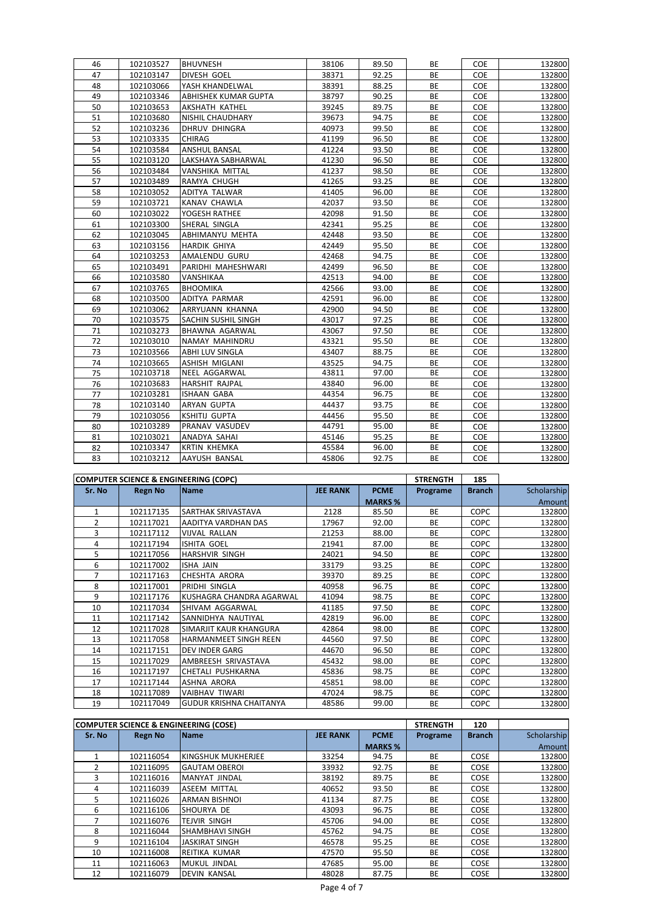| 46 | 102103527 | <b>BHUVNESH</b>       | 38106 | 89.50 | BE        | <b>COE</b> | 132800 |
|----|-----------|-----------------------|-------|-------|-----------|------------|--------|
| 47 | 102103147 | DIVESH GOEL           | 38371 | 92.25 | <b>BE</b> | COE        | 132800 |
| 48 | 102103066 | YASH KHANDELWAL       | 38391 | 88.25 | BE        | COE        | 132800 |
| 49 | 102103346 | ABHISHEK KUMAR GUPTA  | 38797 | 90.25 | BE        | COE        | 132800 |
| 50 | 102103653 | AKSHATH KATHEL        | 39245 | 89.75 | BE        | COE        | 132800 |
| 51 | 102103680 | NISHIL CHAUDHARY      | 39673 | 94.75 | <b>BE</b> | COE        | 132800 |
| 52 | 102103236 | DHRUV DHINGRA         | 40973 | 99.50 | BE        | COE        | 132800 |
| 53 | 102103335 | CHIRAG                | 41199 | 96.50 | BE        | COE        | 132800 |
| 54 | 102103584 | ANSHUL BANSAL         | 41224 | 93.50 | BE        | COE        | 132800 |
| 55 | 102103120 | LAKSHAYA SABHARWAL    | 41230 | 96.50 | <b>BE</b> | <b>COE</b> | 132800 |
| 56 | 102103484 | VANSHIKA MITTAL       | 41237 | 98.50 | <b>BE</b> | <b>COE</b> | 132800 |
| 57 | 102103489 | RAMYA CHUGH           | 41265 | 93.25 | BE        | COE        | 132800 |
| 58 | 102103052 | ADITYA TALWAR         | 41405 | 96.00 | BE        | COE        | 132800 |
| 59 | 102103721 | <b>KANAV CHAWLA</b>   | 42037 | 93.50 | <b>BE</b> | COE        | 132800 |
| 60 | 102103022 | YOGESH RATHEE         | 42098 | 91.50 | <b>BE</b> | COE        | 132800 |
| 61 | 102103300 | SHERAL SINGLA         | 42341 | 95.25 | BE        | COE        | 132800 |
| 62 | 102103045 | ABHIMANYU MEHTA       | 42448 | 93.50 | BE        | COE        | 132800 |
| 63 | 102103156 | <b>HARDIK GHIYA</b>   | 42449 | 95.50 | BE        | COE        | 132800 |
| 64 | 102103253 | AMALENDU GURU         | 42468 | 94.75 | BE        | COE        | 132800 |
| 65 | 102103491 | PARIDHI MAHESHWARI    | 42499 | 96.50 | BE        | COE        | 132800 |
| 66 | 102103580 | VANSHIKAA             | 42513 | 94.00 | BE        | COE        | 132800 |
| 67 | 102103765 | <b>BHOOMIKA</b>       | 42566 | 93.00 | <b>BE</b> | COE        | 132800 |
| 68 | 102103500 | ADITYA PARMAR         | 42591 | 96.00 | BE        | COE        | 132800 |
| 69 | 102103062 | ARRYUANN KHANNA       | 42900 | 94.50 | BE        | <b>COE</b> | 132800 |
| 70 | 102103575 | SACHIN SUSHIL SINGH   | 43017 | 97.25 | BE        | COE        | 132800 |
| 71 | 102103273 | BHAWNA AGARWAL        | 43067 | 97.50 | BE        | COE        | 132800 |
| 72 | 102103010 | NAMAY MAHINDRU        | 43321 | 95.50 | BE        | COE        | 132800 |
| 73 | 102103566 | ABHI LUV SINGLA       | 43407 | 88.75 | BE        | COE        | 132800 |
| 74 | 102103665 | ASHISH MIGLANI        | 43525 | 94.75 | BE        | COE        | 132800 |
| 75 | 102103718 | NEEL AGGARWAL         | 43811 | 97.00 | BE        | <b>COE</b> | 132800 |
| 76 | 102103683 | <b>HARSHIT RAJPAL</b> | 43840 | 96.00 | BE        | COE        | 132800 |
| 77 | 102103281 | <b>ISHAAN GABA</b>    | 44354 | 96.75 | <b>BE</b> | COE        | 132800 |
| 78 | 102103140 | ARYAN GUPTA           | 44437 | 93.75 | <b>BE</b> | COE        | 132800 |
| 79 | 102103056 | <b>KSHITIJ GUPTA</b>  | 44456 | 95.50 | <b>BE</b> | COE        | 132800 |
| 80 | 102103289 | PRANAV VASUDEV        | 44791 | 95.00 | <b>BE</b> | COE        | 132800 |
| 81 | 102103021 | ANADYA SAHAI          | 45146 | 95.25 | BE        | COE        | 132800 |
| 82 | 102103347 | <b>KRTIN KHEMKA</b>   | 45584 | 96.00 | BE        | COE        | 132800 |
| 83 | 102103212 | AAYUSH BANSAL         | 45806 | 92.75 | <b>BE</b> | <b>COE</b> | 132800 |

|                |                | <b>COMPUTER SCIENCE &amp; ENGINEERING (COPC)</b> |                 |                | <b>STRENGTH</b> | 185           |             |
|----------------|----------------|--------------------------------------------------|-----------------|----------------|-----------------|---------------|-------------|
| Sr. No         | <b>Regn No</b> | <b>Name</b>                                      | <b>JEE RANK</b> | <b>PCME</b>    | Programe        | <b>Branch</b> | Scholarship |
|                |                |                                                  |                 | <b>MARKS %</b> |                 |               | Amount      |
| $\mathbf{1}$   | 102117135      | SARTHAK SRIVASTAVA                               | 2128            | 85.50          | <b>BE</b>       | <b>COPC</b>   | 132800      |
| $\overline{2}$ | 102117021      | AADITYA VARDHAN DAS                              | 17967           | 92.00          | BE              | <b>COPC</b>   | 132800      |
| 3              | 102117112      | <b>VIJVAL RALLAN</b>                             | 21253           | 88.00          | <b>BE</b>       | <b>COPC</b>   | 132800      |
| 4              | 102117194      | <b>ISHITA GOEL</b>                               | 21941           | 87.00          | <b>BE</b>       | <b>COPC</b>   | 132800      |
| 5              | 102117056      | <b>HARSHVIR SINGH</b>                            | 24021           | 94.50          | <b>BE</b>       | <b>COPC</b>   | 132800      |
| 6              | 102117002      | <b>ISHA JAIN</b>                                 | 33179           | 93.25          | BE              | <b>COPC</b>   | 132800      |
| $\overline{7}$ | 102117163      | <b>CHESHTA ARORA</b>                             | 39370           | 89.25          | <b>BE</b>       | <b>COPC</b>   | 132800      |
| 8              | 102117001      | PRIDHI SINGLA                                    | 40958           | 96.75          | <b>BE</b>       | <b>COPC</b>   | 132800      |
| 9              | 102117176      | IKUSHAGRA CHANDRA AGARWAL                        | 41094           | 98.75          | <b>BE</b>       | <b>COPC</b>   | 132800      |
| 10             | 102117034      | SHIVAM AGGARWAL                                  | 41185           | 97.50          | BE              | COPC          | 132800      |
| 11             | 102117142      | SANNIDHYA NAUTIYAL                               | 42819           | 96.00          | <b>BE</b>       | <b>COPC</b>   | 132800      |
| 12             | 102117028      | SIMARJIT KAUR KHANGURA                           | 42864           | 98.00          | <b>BE</b>       | <b>COPC</b>   | 132800      |
| 13             | 102117058      | <b>HARMANMEET SINGH REEN</b>                     | 44560           | 97.50          | <b>BE</b>       | <b>COPC</b>   | 132800      |
| 14             | 102117151      | <b>DEV INDER GARG</b>                            | 44670           | 96.50          | <b>BE</b>       | <b>COPC</b>   | 132800      |
| 15             | 102117029      | AMBREESH SRIVASTAVA                              | 45432           | 98.00          | <b>BE</b>       | <b>COPC</b>   | 132800      |
| 16             | 102117197      | CHETALI PUSHKARNA                                | 45836           | 98.75          | <b>BE</b>       | <b>COPC</b>   | 132800      |
| 17             | 102117144      | ASHNA ARORA                                      | 45851           | 98.00          | <b>BE</b>       | <b>COPC</b>   | 132800      |
| 18             | 102117089      | <b>VAIBHAV TIWARI</b>                            | 47024           | 98.75          | <b>BE</b>       | <b>COPC</b>   | 132800      |
| 19             | 102117049      | <b>GUDUR KRISHNA CHAITANYA</b>                   | 48586           | 99.00          | BE              | <b>COPC</b>   | 132800      |

|        | COMPUTER SCIENCE & ENGINEERING (COSE) |                        |                 |                |           |               |             |
|--------|---------------------------------------|------------------------|-----------------|----------------|-----------|---------------|-------------|
| Sr. No | <b>Regn No</b>                        | <b>Name</b>            | <b>JEE RANK</b> | <b>PCME</b>    | Programe  | <b>Branch</b> | Scholarship |
|        |                                       |                        |                 | <b>MARKS %</b> |           |               | Amount      |
|        | 102116054                             | KINGSHUK MUKHERJEE     | 33254           | 94.75          | <b>BE</b> | COSE          | 132800      |
|        | 102116095                             | <b>GAUTAM OBEROI</b>   | 33932           | 92.75          | <b>BE</b> | <b>COSE</b>   | 132800      |
| 3      | 102116016                             | <b>MANYAT JINDAL</b>   | 38192           | 89.75          | <b>BE</b> | COSE          | 132800      |
| 4      | 102116039                             | <b>ASEEM MITTAL</b>    | 40652           | 93.50          | <b>BE</b> | COSE          | 132800      |
| 5      | 102116026                             | <b>ARMAN BISHNOL</b>   | 41134           | 87.75          | <b>BE</b> | <b>COSE</b>   | 132800      |
| 6      | 102116106                             | SHOURYA DE             | 43093           | 96.75          | <b>BE</b> | COSE          | 132800      |
|        | 102116076                             | <b>TEJVIR SINGH</b>    | 45706           | 94.00          | <b>BE</b> | COSE          | 132800      |
| 8      | 102116044                             | <b>SHAMBHAVI SINGH</b> | 45762           | 94.75          | <b>BE</b> | COSE          | 132800      |
| 9      | 102116104                             | <b>JASKIRAT SINGH</b>  | 46578           | 95.25          | <b>BE</b> | <b>COSE</b>   | 132800      |
| 10     | 102116008                             | REITIKA KUMAR          | 47570           | 95.50          | <b>BE</b> | COSE          | 132800      |
| 11     | 102116063                             | <b>MUKUL JINDAL</b>    | 47685           | 95.00          | <b>BE</b> | <b>COSE</b>   | 132800      |
| 12     | 102116079                             | <b>DEVIN KANSAL</b>    | 48028           | 87.75          | <b>BE</b> | COSE          | 132800      |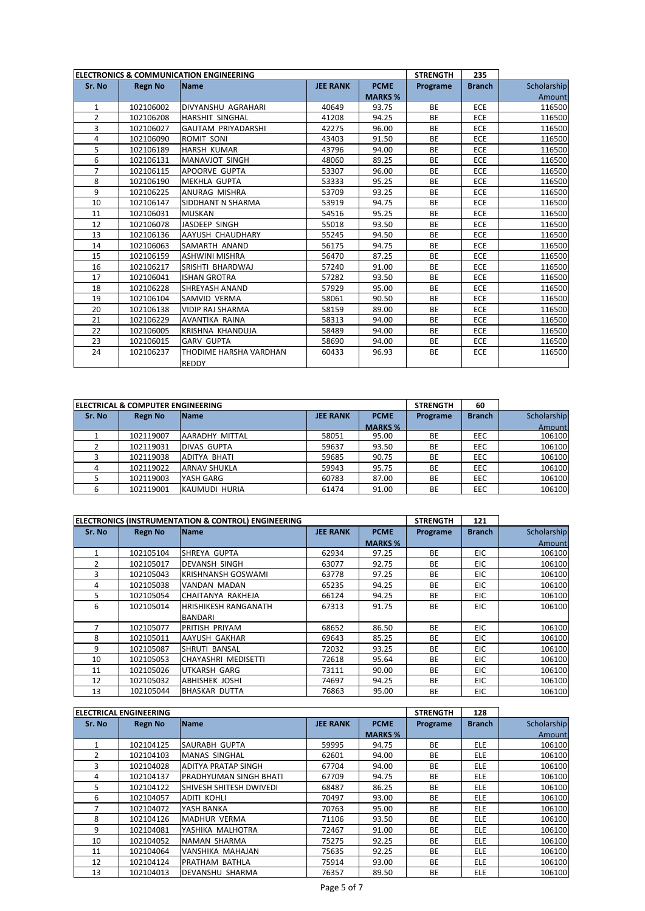|                | ELECTRONICS & COMMUNICATION ENGINEERING |                           |                 |                |           | 235           |             |
|----------------|-----------------------------------------|---------------------------|-----------------|----------------|-----------|---------------|-------------|
| Sr. No         | <b>Regn No</b>                          | Name                      | <b>JEE RANK</b> | <b>PCME</b>    | Programe  | <b>Branch</b> | Scholarship |
|                |                                         |                           |                 | <b>MARKS %</b> |           |               | Amount      |
| $\mathbf{1}$   | 102106002                               | DIVYANSHU AGRAHARI        | 40649           | 93.75          | <b>BE</b> | ECE           | 116500      |
| $\overline{2}$ | 102106208                               | <b>HARSHIT SINGHAL</b>    | 41208           | 94.25          | <b>BE</b> | <b>ECE</b>    | 116500      |
| 3              | 102106027                               | <b>GAUTAM PRIYADARSHI</b> | 42275           | 96.00          | <b>BE</b> | ECE           | 116500      |
| 4              | 102106090                               | ROMIT SONI                | 43403           | 91.50          | <b>BE</b> | ECE           | 116500      |
| 5              | 102106189                               | <b>HARSH KUMAR</b>        | 43796           | 94.00          | <b>BE</b> | ECE           | 116500      |
| 6              | 102106131                               | <b>MANAVJOT SINGH</b>     | 48060           | 89.25          | <b>BE</b> | ECE           | 116500      |
| $\overline{7}$ | 102106115                               | APOORVE GUPTA             | 53307           | 96.00          | <b>BE</b> | ECE           | 116500      |
| 8              | 102106190                               | <b>MEKHLA GUPTA</b>       | 53333           | 95.25          | <b>BE</b> | ECE           | 116500      |
| 9              | 102106225                               | ANURAG MISHRA             | 53709           | 93.25          | <b>BE</b> | ECE           | 116500      |
| 10             | 102106147                               | SIDDHANT N SHARMA         | 53919           | 94.75          | <b>BE</b> | <b>ECE</b>    | 116500      |
| 11             | 102106031                               | <b>MUSKAN</b>             | 54516           | 95.25          | <b>BE</b> | <b>ECE</b>    | 116500      |
| 12             | 102106078                               | JASDEEP SINGH             | 55018           | 93.50          | <b>BE</b> | ECE           | 116500      |
| 13             | 102106136                               | AAYUSH CHAUDHARY          | 55245           | 94.50          | <b>BE</b> | ECE           | 116500      |
| 14             | 102106063                               | SAMARTH ANAND             | 56175           | 94.75          | <b>BE</b> | ECE           | 116500      |
| 15             | 102106159                               | <b>ASHWINI MISHRA</b>     | 56470           | 87.25          | <b>BE</b> | ECE           | 116500      |
| 16             | 102106217                               | SRISHTI BHARDWAJ          | 57240           | 91.00          | <b>BE</b> | ECE           | 116500      |
| 17             | 102106041                               | <b>ISHAN GROTRA</b>       | 57282           | 93.50          | <b>BE</b> | <b>ECE</b>    | 116500      |
| 18             | 102106228                               | SHREYASH ANAND            | 57929           | 95.00          | <b>BE</b> | <b>ECE</b>    | 116500      |
| 19             | 102106104                               | SAMVID VERMA              | 58061           | 90.50          | <b>BE</b> | ECE           | 116500      |
| 20             | 102106138                               | <b>VIDIP RAJ SHARMA</b>   | 58159           | 89.00          | <b>BE</b> | <b>ECE</b>    | 116500      |
| 21             | 102106229                               | AVANTIKA RAINA            | 58313           | 94.00          | <b>BE</b> | ECE           | 116500      |
| 22             | 102106005                               | KRISHNA KHANDUJA          | 58489           | 94.00          | <b>BE</b> | <b>ECE</b>    | 116500      |
| 23             | 102106015                               | <b>GARV GUPTA</b>         | 58690           | 94.00          | <b>BE</b> | <b>ECE</b>    | 116500      |
| 24             | 102106237                               | THODIME HARSHA VARDHAN    | 60433           | 96.93          | <b>BE</b> | ECE           | 116500      |
|                |                                         | <b>REDDY</b>              |                 |                |           |               |             |

|        | ELECTRICAL & COMPUTER ENGINEERING |                     |                 | <b>STRENGTH</b> | 60        |               |             |
|--------|-----------------------------------|---------------------|-----------------|-----------------|-----------|---------------|-------------|
| Sr. No | <b>Regn No</b>                    | <b>Name</b>         | <b>JEE RANK</b> | <b>PCME</b>     | Programe  | <b>Branch</b> | Scholarship |
|        |                                   |                     |                 | <b>MARKS %</b>  |           |               | Amount      |
|        | 102119007                         | AARADHY MITTAL      | 58051           | 95.00           | BE        | <b>EEC</b>    | 106100      |
|        | 102119031                         | <b>DIVAS GUPTA</b>  | 59637           | 93.50           | BE        | <b>EEC</b>    | 106100      |
|        | 102119038                         | <b>ADITYA BHATI</b> | 59685           | 90.75           | BE        | <b>EEC</b>    | 106100      |
|        | 102119022                         | <b>ARNAV SHUKLA</b> | 59943           | 95.75           | BE        | <b>EEC</b>    | 106100      |
|        | 102119003                         | YASH GARG           | 60783           | 87.00           | <b>BE</b> | <b>EEC</b>    | 106100      |
|        | 102119001                         | KAUMUDI HURIA       | 61474           | 91.00           | BE        | <b>EEC</b>    | 106100      |

|               |                | ELECTRONICS (INSTRUMENTATION & CONTROL) ENGINEERING |                 |                | <b>STRENGTH</b> | 121           |             |
|---------------|----------------|-----------------------------------------------------|-----------------|----------------|-----------------|---------------|-------------|
| Sr. No        | <b>Regn No</b> | <b>Name</b>                                         | <b>JEE RANK</b> | <b>PCME</b>    | Programe        | <b>Branch</b> | Scholarship |
|               |                |                                                     |                 | <b>MARKS %</b> |                 |               | Amount      |
|               | 102105104      | SHREYA GUPTA                                        | 62934           | 97.25          | <b>BE</b>       | <b>EIC</b>    | 106100      |
| $\mathcal{P}$ | 102105017      | IDEVANSH SINGH                                      | 63077           | 92.75          | BE              | EIC           | 106100      |
| 3             | 102105043      | <b>KRISHNANSH GOSWAMI</b>                           | 63778           | 97.25          | <b>BE</b>       | <b>EIC</b>    | 106100      |
| 4             | 102105038      | VANDAN MADAN                                        | 65235           | 94.25          | <b>BE</b>       | EIC           | 106100      |
| 5             | 102105054      | CHAITANYA RAKHEJA                                   | 66124           | 94.25          | <b>BE</b>       | EIC           | 106100      |
| 6             | 102105014      | <b>HRISHIKESH RANGANATH</b>                         | 67313           | 91.75          | <b>BE</b>       | EIC           | 106100      |
|               |                | <b>BANDARI</b>                                      |                 |                |                 |               |             |
| 7             | 102105077      | PRITISH PRIYAM                                      | 68652           | 86.50          | <b>BE</b>       | <b>EIC</b>    | 106100      |
| 8             | 102105011      | AAYUSH GAKHAR                                       | 69643           | 85.25          | <b>BE</b>       | <b>EIC</b>    | 106100      |
| 9             | 102105087      | <b>SHRUTI BANSAL</b>                                | 72032           | 93.25          | <b>BE</b>       | EIC           | 106100      |
| 10            | 102105053      | CHAYASHRI MEDISETTI                                 | 72618           | 95.64          | BE              | <b>EIC</b>    | 106100      |
| 11            | 102105026      | <b>UTKARSH GARG</b>                                 | 73111           | 90.00          | <b>BE</b>       | <b>EIC</b>    | 106100      |
| 12            | 102105032      | IABHISHEK JOSHI                                     | 74697           | 94.25          | <b>BE</b>       | <b>EIC</b>    | 106100      |
| 13            | 102105044      | <b>BHASKAR DUTTA</b>                                | 76863           | 95.00          | <b>BE</b>       | EIC           | 106100      |

|        | <b>ELECTRICAL ENGINEERING</b> |                                |                 |                | <b>STRENGTH</b> | 128           |             |
|--------|-------------------------------|--------------------------------|-----------------|----------------|-----------------|---------------|-------------|
| Sr. No | <b>Regn No</b>                | <b>Name</b>                    | <b>JEE RANK</b> | <b>PCME</b>    | Programe        | <b>Branch</b> | Scholarship |
|        |                               |                                |                 | <b>MARKS %</b> |                 |               | Amount      |
|        | 102104125                     | <b>SAURABH GUPTA</b>           | 59995           | 94.75          | <b>BE</b>       | <b>ELE</b>    | 106100      |
|        | 102104103                     | <b>MANAS SINGHAL</b>           | 62601           | 94.00          | <b>BE</b>       | <b>ELE</b>    | 106100      |
| 3      | 102104028                     | <b>ADITYA PRATAP SINGH</b>     | 67704           | 94.00          | <b>BE</b>       | <b>ELE</b>    | 106100      |
| 4      | 102104137                     | <b>IPRADHYUMAN SINGH BHATI</b> | 67709           | 94.75          | <b>BE</b>       | <b>ELE</b>    | 106100      |
| 5      | 102104122                     | <b>SHIVESH SHITESH DWIVEDI</b> | 68487           | 86.25          | <b>BE</b>       | <b>ELE</b>    | 106100      |
| 6      | 102104057                     | <b>ADITI KOHLI</b>             | 70497           | 93.00          | <b>BE</b>       | <b>ELE</b>    | 106100      |
|        | 102104072                     | YASH BANKA                     | 70763           | 95.00          | <b>BE</b>       | <b>ELE</b>    | 106100      |
| 8      | 102104126                     | <b>MADHUR VERMA</b>            | 71106           | 93.50          | <b>BE</b>       | <b>ELE</b>    | 106100      |
| 9      | 102104081                     | YASHIKA MALHOTRA               | 72467           | 91.00          | <b>BE</b>       | <b>ELE</b>    | 106100      |
| 10     | 102104052                     | NAMAN SHARMA                   | 75275           | 92.25          | <b>BE</b>       | <b>ELE</b>    | 106100      |
| 11     | 102104064                     | VANSHIKA MAHAJAN               | 75635           | 92.25          | BE              | <b>ELE</b>    | 106100      |
| 12     | 102104124                     | PRATHAM BATHLA                 | 75914           | 93.00          | <b>BE</b>       | ELE           | 106100      |
| 13     | 102104013                     | <b>DEVANSHU SHARMA</b>         | 76357           | 89.50          | <b>BE</b>       | <b>ELE</b>    | 106100      |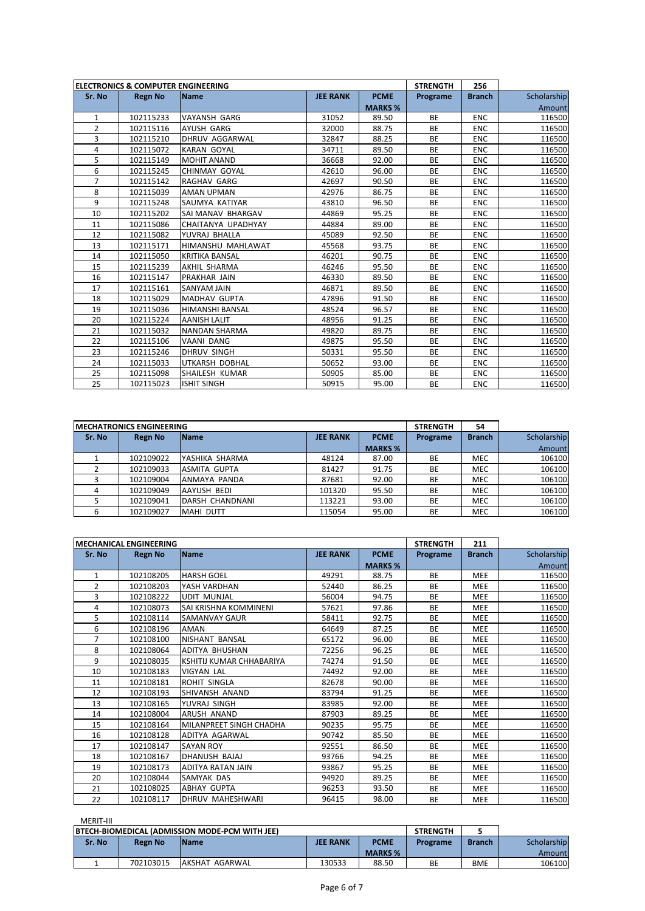|        | <b>ELECTRONICS &amp; COMPUTER ENGINEERING</b> |                        |                 |                | <b>STRENGTH</b> | 256           |             |
|--------|-----------------------------------------------|------------------------|-----------------|----------------|-----------------|---------------|-------------|
| Sr. No | <b>Regn No</b>                                | Name                   | <b>JEE RANK</b> | <b>PCME</b>    | Programe        | <b>Branch</b> | Scholarship |
|        |                                               |                        |                 | <b>MARKS %</b> |                 |               | Amount      |
| 1      | 102115233                                     | <b>VAYANSH GARG</b>    | 31052           | 89.50          | <b>BE</b>       | <b>ENC</b>    | 116500      |
| 2      | 102115116                                     | AYUSH GARG             | 32000           | 88.75          | <b>BE</b>       | <b>ENC</b>    | 116500      |
| 3      | 102115210                                     | <b>DHRUV AGGARWAL</b>  | 32847           | 88.25          | <b>BE</b>       | <b>ENC</b>    | 116500      |
| 4      | 102115072                                     | <b>KARAN GOYAL</b>     | 34711           | 89.50          | <b>BE</b>       | <b>ENC</b>    | 116500      |
| 5      | 102115149                                     | MOHIT ANAND            | 36668           | 92.00          | <b>BE</b>       | <b>ENC</b>    | 116500      |
| 6      | 102115245                                     | <b>CHINMAY GOYAL</b>   | 42610           | 96.00          | <b>BE</b>       | <b>ENC</b>    | 116500      |
| 7      | 102115142                                     | RAGHAV GARG            | 42697           | 90.50          | <b>BE</b>       | <b>ENC</b>    | 116500      |
| 8      | 102115039                                     | AMAN UPMAN             | 42976           | 86.75          | <b>BE</b>       | <b>ENC</b>    | 116500      |
| 9      | 102115248                                     | SAUMYA KATIYAR         | 43810           | 96.50          | <b>BE</b>       | <b>ENC</b>    | 116500      |
| 10     | 102115202                                     | SAI MANAV BHARGAV      | 44869           | 95.25          | <b>BE</b>       | <b>ENC</b>    | 116500      |
| 11     | 102115086                                     | CHAITANYA UPADHYAY     | 44884           | 89.00          | <b>BE</b>       | <b>ENC</b>    | 116500      |
| 12     | 102115082                                     | YUVRAJ BHALLA          | 45089           | 92.50          | <b>BE</b>       | <b>ENC</b>    | 116500      |
| 13     | 102115171                                     | HIMANSHU MAHLAWAT      | 45568           | 93.75          | <b>BE</b>       | <b>ENC</b>    | 116500      |
| 14     | 102115050                                     | <b>KRITIKA BANSAL</b>  | 46201           | 90.75          | <b>BE</b>       | <b>ENC</b>    | 116500      |
| 15     | 102115239                                     | AKHIL SHARMA           | 46246           | 95.50          | <b>BE</b>       | <b>ENC</b>    | 116500      |
| 16     | 102115147                                     | PRAKHAR JAIN           | 46330           | 89.50          | <b>BE</b>       | <b>ENC</b>    | 116500      |
| 17     | 102115161                                     | SANYAM JAIN            | 46871           | 89.50          | <b>BE</b>       | <b>ENC</b>    | 116500      |
| 18     | 102115029                                     | <b>MADHAV GUPTA</b>    | 47896           | 91.50          | <b>BE</b>       | <b>ENC</b>    | 116500      |
| 19     | 102115036                                     | <b>HIMANSHI BANSAL</b> | 48524           | 96.57          | <b>BE</b>       | <b>ENC</b>    | 116500      |
| 20     | 102115224                                     | <b>AANISH LALIT</b>    | 48956           | 91.25          | <b>BE</b>       | <b>ENC</b>    | 116500      |
| 21     | 102115032                                     | <b>NANDAN SHARMA</b>   | 49820           | 89.75          | <b>BE</b>       | <b>ENC</b>    | 116500      |
| 22     | 102115106                                     | VAANI DANG             | 49875           | 95.50          | <b>BE</b>       | <b>ENC</b>    | 116500      |
| 23     | 102115246                                     | DHRUV SINGH            | 50331           | 95.50          | <b>BE</b>       | <b>ENC</b>    | 116500      |
| 24     | 102115033                                     | UTKARSH DOBHAL         | 50652           | 93.00          | <b>BE</b>       | <b>ENC</b>    | 116500      |
| 25     | 102115098                                     | SHAILESH KUMAR         | 50905           | 85.00          | <b>BE</b>       | <b>ENC</b>    | 116500      |
| 25     | 102115023                                     | <b>ISHIT SINGH</b>     | 50915           | 95.00          | <b>BE</b>       | <b>ENC</b>    | 116500      |

|        | <b>IMECHATRONICS ENGINEERING</b> |                 |                 |                | <b>STRENGTH</b> | 54            |             |
|--------|----------------------------------|-----------------|-----------------|----------------|-----------------|---------------|-------------|
| Sr. No | <b>Regn No</b>                   | <b>Name</b>     | <b>JEE RANK</b> | <b>PCME</b>    | Programe        | <b>Branch</b> | Scholarship |
|        |                                  |                 |                 | <b>MARKS %</b> |                 |               | Amount      |
|        | 102109022                        | YASHIKA SHARMA  | 48124           | 87.00          | BE              | <b>MEC</b>    | 106100      |
|        | 102109033                        | ASMITA GUPTA    | 81427           | 91.75          | BE              | <b>MEC</b>    | 106100      |
|        | 102109004                        | ANMAYA PANDA    | 87681           | 92.00          | BE              | <b>MEC</b>    | 106100      |
|        | 102109049                        | AAYUSH BEDI     | 101320          | 95.50          | <b>BE</b>       | <b>MEC</b>    | 106100      |
|        | 102109041                        | DARSH CHANDNANI | 113221          | 93.00          | BE              | <b>MEC</b>    | 106100      |
|        | 102109027                        | MAHI DUTT       | 115054          | 95.00          | BE              | <b>MEC</b>    | 106100      |

|                | <b>MECHANICAL ENGINEERING</b> |                          |                 |                | <b>STRENGTH</b> | 211           |             |
|----------------|-------------------------------|--------------------------|-----------------|----------------|-----------------|---------------|-------------|
| Sr. No         | <b>Regn No</b>                | Name                     | <b>JEE RANK</b> | <b>PCME</b>    | Programe        | <b>Branch</b> | Scholarship |
|                |                               |                          |                 | <b>MARKS %</b> |                 |               | Amount      |
| $\mathbf{1}$   | 102108205                     | <b>HARSH GOEL</b>        | 49291           | 88.75          | <b>BE</b>       | <b>MEE</b>    | 116500      |
| $\overline{2}$ | 102108203                     | YASH VARDHAN             | 52440           | 86.25          | <b>BE</b>       | <b>MEE</b>    | 116500      |
| 3              | 102108222                     | <b>UDIT MUNJAL</b>       | 56004           | 94.75          | <b>BE</b>       | <b>MEE</b>    | 116500      |
| 4              | 102108073                     | SAI KRISHNA KOMMINENI    | 57621           | 97.86          | BE              | <b>MEE</b>    | 116500      |
| 5              | 102108114                     | <b>SAMANVAY GAUR</b>     | 58411           | 92.75          | <b>BE</b>       | <b>MEE</b>    | 116500      |
| 6              | 102108196                     | <b>AMAN</b>              | 64649           | 87.25          | <b>BE</b>       | <b>MEE</b>    | 116500      |
| 7              | 102108100                     | <b>NISHANT BANSAL</b>    | 65172           | 96.00          | <b>BE</b>       | <b>MEE</b>    | 116500      |
| 8              | 102108064                     | ADITYA BHUSHAN           | 72256           | 96.25          | <b>BE</b>       | MEE           | 116500      |
| 9              | 102108035                     | KSHITIJ KUMAR CHHABARIYA | 74274           | 91.50          | <b>BE</b>       | <b>MEE</b>    | 116500      |
| 10             | 102108183                     | <b>VIGYAN LAL</b>        | 74492           | 92.00          | <b>BE</b>       | <b>MEE</b>    | 116500      |
| 11             | 102108181                     | ROHIT SINGLA             | 82678           | 90.00          | BE              | <b>MEE</b>    | 116500      |
| 12             | 102108193                     | SHIVANSH ANAND           | 83794           | 91.25          | <b>BE</b>       | <b>MEE</b>    | 116500      |
| 13             | 102108165                     | YUVRAJ SINGH             | 83985           | 92.00          | BE              | <b>MEE</b>    | 116500      |
| 14             | 102108004                     | ARUSH ANAND              | 87903           | 89.25          | <b>BE</b>       | <b>MEE</b>    | 116500      |
| 15             | 102108164                     | MILANPREET SINGH CHADHA  | 90235           | 95.75          | BE              | <b>MEE</b>    | 116500      |
| 16             | 102108128                     | ADITYA AGARWAL           | 90742           | 85.50          | <b>BE</b>       | <b>MEE</b>    | 116500      |
| 17             | 102108147                     | <b>SAYAN ROY</b>         | 92551           | 86.50          | <b>BE</b>       | MEE           | 116500      |
| 18             | 102108167                     | DHANUSH BAJAJ            | 93766           | 94.25          | <b>BE</b>       | <b>MEE</b>    | 116500      |
| 19             | 102108173                     | ADITYA RATAN JAIN        | 93867           | 95.25          | <b>BE</b>       | <b>MEE</b>    | 116500      |
| 20             | 102108044                     | SAMYAK DAS               | 94920           | 89.25          | <b>BE</b>       | <b>MEE</b>    | 116500      |
| 21             | 102108025                     | <b>ABHAY GUPTA</b>       | 96253           | 93.50          | <b>BE</b>       | <b>MEE</b>    | 116500      |
| 22             | 102108117                     | DHRUV MAHESHWARI         | 96415           | 98.00          | <b>BE</b>       | MEE           | 116500      |

## MERIT-III

| <b>BTECH-BIOMEDICAL (ADMISSION MODE-PCM WITH JEE)</b> |                |                |                 |                | <b>STRENGTH</b> |               |             |
|-------------------------------------------------------|----------------|----------------|-----------------|----------------|-----------------|---------------|-------------|
| Sr. No                                                | <b>Regn No</b> | <b>IName</b>   | <b>JEE RANK</b> | <b>PCME</b>    | Programe        | <b>Branch</b> | Scholarship |
|                                                       |                |                |                 | <b>MARKS %</b> |                 |               | Amountl     |
|                                                       | 702103015      | AKSHAT AGARWAL | 130533          | 88.50          | BE              | <b>BME</b>    | 106100      |